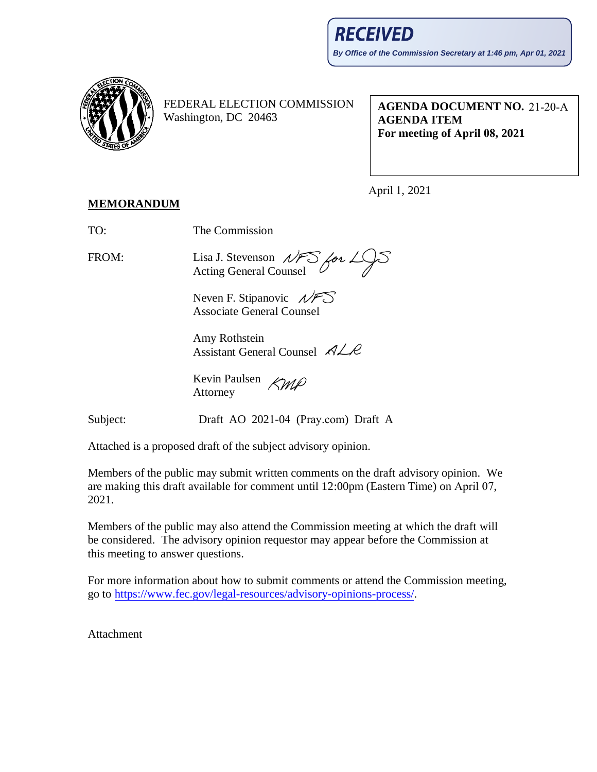

FEDERAL ELECTION COMMISSION Washington, DC 20463

**AGENDA DOCUMENT NO.**  21-20-A **AGENDA ITEM For meeting of April 08, 2021**

April 1, 2021

## **MEMORANDUM**

TO: The Commission

FROM: Lisa J. Stevenson  $\mathcal{NFS}$  for  $\angle\sqrt{S}$ <br>Acting General Counsel Acting General Counsel

Neven F. Stipanovic  $\mathcal{N}$ F Associate General Counsel

Amy Rothstein Assistant General Counsel  $\n *A*  $\angle$  *R*$ 

Kevin Paulsen *KMP* Attorney

Subject: Draft AO 2021-04 (Pray.com) Draft A

Attached is a proposed draft of the subject advisory opinion.

Members of the public may submit written comments on the draft advisory opinion. We are making this draft available for comment until 12:00pm (Eastern Time) on April 07, 2021.

Members of the public may also attend the Commission meeting at which the draft will be considered. The advisory opinion requestor may appear before the Commission at this meeting to answer questions.

For more information about how to submit comments or attend the Commission meeting, go to [https://www.fec.gov/legal-resources/advisory-opinions-process/.](https://www.fec.gov/legal-resources/advisory-opinions-process/)

**Attachment**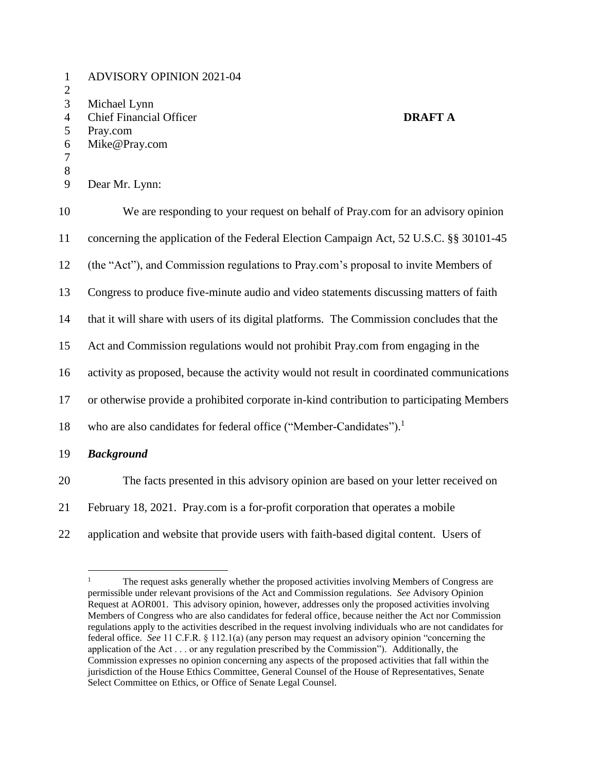| $\mathbf{1}$<br>$\mathbf{2}$       | <b>ADVISORY OPINION 2021-04</b>                                                               |
|------------------------------------|-----------------------------------------------------------------------------------------------|
| 3<br>$\overline{4}$<br>5<br>6<br>7 | Michael Lynn<br><b>Chief Financial Officer</b><br><b>DRAFT A</b><br>Pray.com<br>Mike@Pray.com |
| $8\,$<br>9                         | Dear Mr. Lynn:                                                                                |
| 10                                 | We are responding to your request on behalf of Pray.com for an advisory opinion               |
| 11                                 | concerning the application of the Federal Election Campaign Act, 52 U.S.C. §§ 30101-45        |
| 12                                 | (the "Act"), and Commission regulations to Pray.com's proposal to invite Members of           |
| 13                                 | Congress to produce five-minute audio and video statements discussing matters of faith        |
| 14                                 | that it will share with users of its digital platforms. The Commission concludes that the     |
| 15                                 | Act and Commission regulations would not prohibit Pray.com from engaging in the               |
| 16                                 | activity as proposed, because the activity would not result in coordinated communications     |
| 17                                 | or otherwise provide a prohibited corporate in-kind contribution to participating Members     |
| 18                                 | who are also candidates for federal office ("Member-Candidates"). <sup>1</sup>                |
| 19                                 | <b>Background</b>                                                                             |
| 20                                 | The facts presented in this advisory opinion are based on your letter received on             |
| 21                                 | February 18, 2021. Pray.com is a for-profit corporation that operates a mobile                |

application and website that provide users with faith-based digital content. Users of

 $\mathbf{1}$  The request asks generally whether the proposed activities involving Members of Congress are permissible under relevant provisions of the Act and Commission regulations. *See* Advisory Opinion Request at AOR001. This advisory opinion, however, addresses only the proposed activities involving Members of Congress who are also candidates for federal office, because neither the Act nor Commission regulations apply to the activities described in the request involving individuals who are not candidates for federal office. *See* 11 C.F.R. § 112.1(a) (any person may request an advisory opinion "concerning the application of the Act . . . or any regulation prescribed by the Commission"). Additionally, the Commission expresses no opinion concerning any aspects of the proposed activities that fall within the jurisdiction of the House Ethics Committee, General Counsel of the House of Representatives, Senate Select Committee on Ethics, or Office of Senate Legal Counsel.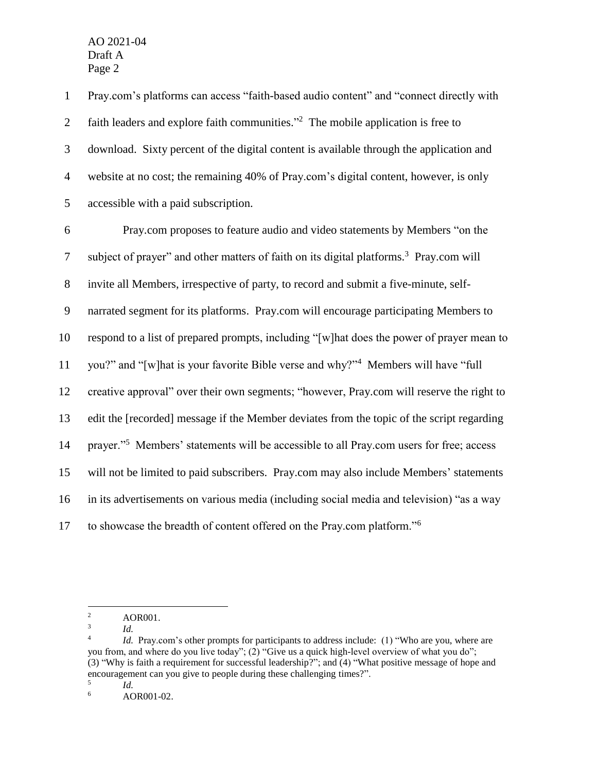Pray.com's platforms can access "faith-based audio content" and "connect directly with 2 faith leaders and explore faith communities. $\frac{1}{2}$  The mobile application is free to download. Sixty percent of the digital content is available through the application and website at no cost; the remaining 40% of Pray.com's digital content, however, is only accessible with a paid subscription.

 Pray.com proposes to feature audio and video statements by Members "on the 7 subject of prayer" and other matters of faith on its digital platforms.<sup>3</sup> Pray.com will invite all Members, irrespective of party, to record and submit a five-minute, self- narrated segment for its platforms. Pray.com will encourage participating Members to respond to a list of prepared prompts, including "[w]hat does the power of prayer mean to 11 you?" and "[w]hat is your favorite Bible verse and why?"<sup>4</sup> Members will have "full creative approval" over their own segments; "however, Pray.com will reserve the right to edit the [recorded] message if the Member deviates from the topic of the script regarding 14 prayer."<sup>5</sup> Members' statements will be accessible to all Pray.com users for free; access will not be limited to paid subscribers. Pray.com may also include Members' statements in its advertisements on various media (including social media and television) "as a way 17 to showcase the breadth of content offered on the Pray.com platform."<sup>6</sup>

 $\overline{a}$ 

<sup>2</sup> AOR001.

<sup>3</sup> *Id.*

<sup>4</sup> *Id.* Pray.com's other prompts for participants to address include: (1) "Who are you, where are you from, and where do you live today"; (2) "Give us a quick high-level overview of what you do"; (3) "Why is faith a requirement for successful leadership?"; and (4) "What positive message of hope and encouragement can you give to people during these challenging times?". *Id.*

<sup>5</sup>

<sup>6</sup> AOR001-02.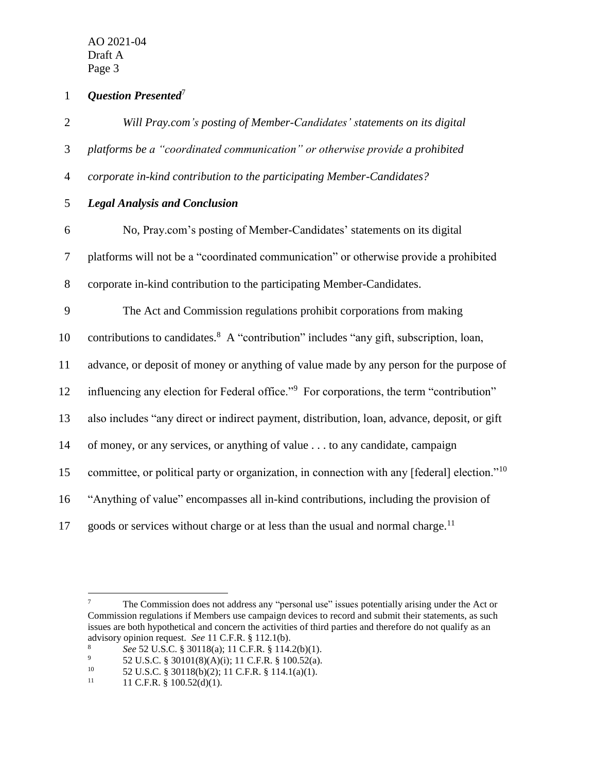*Question Presented*<sup>7</sup> 1

| $\mathbf{2}$   | Will Pray.com's posting of Member-Candidates' statements on its digital                                  |
|----------------|----------------------------------------------------------------------------------------------------------|
| 3              | platforms be a "coordinated communication" or otherwise provide a prohibited                             |
| $\overline{4}$ | corporate in-kind contribution to the participating Member-Candidates?                                   |
| 5              | <b>Legal Analysis and Conclusion</b>                                                                     |
| 6              | No, Pray.com's posting of Member-Candidates' statements on its digital                                   |
| 7              | platforms will not be a "coordinated communication" or otherwise provide a prohibited                    |
| 8              | corporate in-kind contribution to the participating Member-Candidates.                                   |
| 9              | The Act and Commission regulations prohibit corporations from making                                     |
| 10             | contributions to candidates. <sup>8</sup> A "contribution" includes "any gift, subscription, loan,       |
| 11             | advance, or deposit of money or anything of value made by any person for the purpose of                  |
| 12             | influencing any election for Federal office." <sup>9</sup> For corporations, the term "contribution"     |
| 13             | also includes "any direct or indirect payment, distribution, loan, advance, deposit, or gift             |
| 14             | of money, or any services, or anything of value to any candidate, campaign                               |
| 15             | committee, or political party or organization, in connection with any [federal] election." <sup>10</sup> |
| 16             | "Anything of value" encompasses all in-kind contributions, including the provision of                    |
| 17             | goods or services without charge or at less than the usual and normal charge. <sup>11</sup>              |

 $\tau$ <sup>7</sup> The Commission does not address any "personal use" issues potentially arising under the Act or Commission regulations if Members use campaign devices to record and submit their statements, as such issues are both hypothetical and concern the activities of third parties and therefore do not qualify as an advisory opinion request. *See* 11 C.F.R. § 112.1(b).<br><sup>8</sup> See 52 JJS C & 30118(a): 11 C F R & 114

<sup>8</sup>  $\text{See } 52 \text{ U.S.C. } 830118(a); 11 \text{ C.F.R. } 8114.2(b)(1).$ <br>
9  $52 \text{ U.S. C. } 830101(8)(4)(i): 11 \text{ C FR. } 810052(a)$ 

<sup>9 52</sup> U.S.C. § 30101(8)(A)(i); 11 C.F.R. § 100.52(a).<br>
<sup>10</sup> 52 U.S.C. § 30118(b)(2): 11 C.F.R. § 114 1(a)(1).

<sup>&</sup>lt;sup>10</sup> 52 U.S.C. § 30118(b)(2); 11 C.F.R. § 114.1(a)(1).<br><sup>11</sup> 11 C F R § 100 52(d)(1)

<sup>11</sup> C.F.R. § 100.52(d)(1).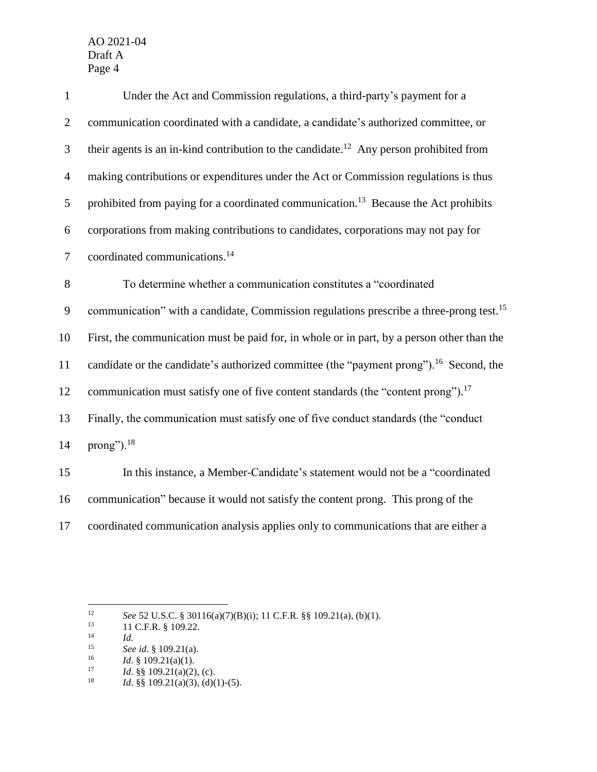| $\mathbf{1}$   | Under the Act and Commission regulations, a third-party's payment for a                             |
|----------------|-----------------------------------------------------------------------------------------------------|
| $\overline{2}$ | communication coordinated with a candidate, a candidate's authorized committee, or                  |
| 3              | their agents is an in-kind contribution to the candidate. <sup>12</sup> Any person prohibited from  |
| $\overline{4}$ | making contributions or expenditures under the Act or Commission regulations is thus                |
| 5              | prohibited from paying for a coordinated communication. <sup>13</sup> Because the Act prohibits     |
| 6              | corporations from making contributions to candidates, corporations may not pay for                  |
| $\tau$         | coordinated communications. <sup>14</sup>                                                           |
| 8              | To determine whether a communication constitutes a "coordinated                                     |
| 9              | communication" with a candidate, Commission regulations prescribe a three-prong test. <sup>15</sup> |
| 10             | First, the communication must be paid for, in whole or in part, by a person other than the          |
| 11             | candidate or the candidate's authorized committee (the "payment prong"). <sup>16</sup> Second, the  |
| 12             | communication must satisfy one of five content standards (the "content prong"). <sup>17</sup>       |
| 13             | Finally, the communication must satisfy one of five conduct standards (the "conduct"                |
| 14             | prong"). $18$                                                                                       |
| 15             | In this instance, a Member-Candidate's statement would not be a "coordinated"                       |
| 16             | communication" because it would not satisfy the content prong. This prong of the                    |

17 coordinated communication analysis applies only to communications that are either a

 $12$ <sup>12</sup> *See* 52 U.S.C. § 30116(a)(7)(B)(i); 11 C.F.R. §§ 109.21(a), (b)(1).<br><sup>13</sup> 11 C F R § 109.22

 $^{13}$  11 C.F.R. § 109.22.

 $\frac{14}{15}$  *Id.* 

<sup>15</sup> *See id*. § 109.21(a).

<sup>&</sup>lt;sup>16</sup> *Id.* § 109.21(a)(1).<br><sup>17</sup> *Id.* 88.109.21(a)(2)

<sup>&</sup>lt;sup>17</sup> *Id.* §§ 109.21(a)(2), (c).<br><sup>18</sup> *Id.* §§ 109.21(a)(3), (d)(1

Id. §§ 109.21(a)(3), (d)(1)-(5).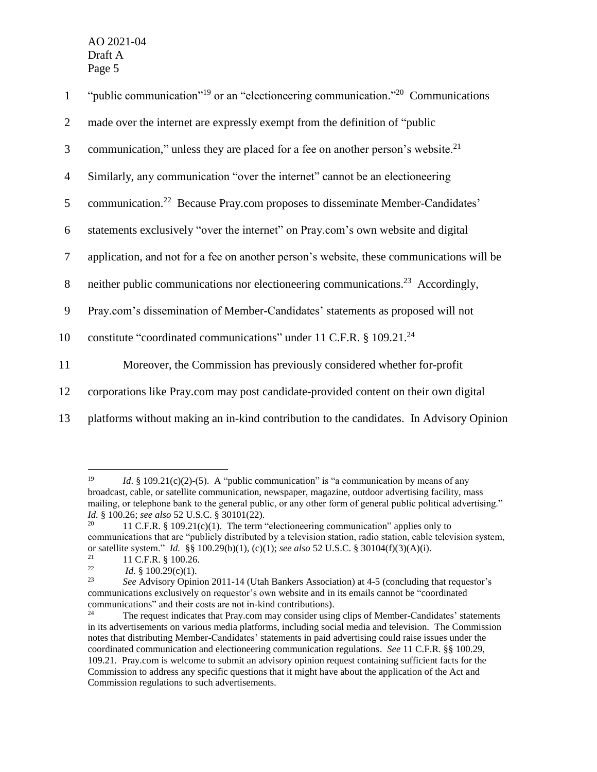| $\mathbf{1}$   | "public communication" <sup>19</sup> or an "electioneering communication." <sup>20</sup> Communications" |
|----------------|----------------------------------------------------------------------------------------------------------|
| $\overline{2}$ | made over the internet are expressly exempt from the definition of "public"                              |
| 3              | communication," unless they are placed for a fee on another person's website. <sup>21</sup>              |
| $\overline{4}$ | Similarly, any communication "over the internet" cannot be an electioneering                             |
| 5              | communication. <sup>22</sup> Because Pray.com proposes to disseminate Member-Candidates'                 |
| 6              | statements exclusively "over the internet" on Pray.com's own website and digital                         |
| $\tau$         | application, and not for a fee on another person's website, these communications will be                 |
| 8              | neither public communications nor electioneering communications. <sup>23</sup> Accordingly,              |
| 9              | Pray.com's dissemination of Member-Candidates' statements as proposed will not                           |
| 10             | constitute "coordinated communications" under 11 C.F.R. $\S$ 109.21. <sup>24</sup>                       |
| 11             | Moreover, the Commission has previously considered whether for-profit                                    |
| 12             | corporations like Pray.com may post candidate-provided content on their own digital                      |
| 13             | platforms without making an in-kind contribution to the candidates. In Advisory Opinion                  |

 $\overline{a}$ 

<sup>19</sup> *Id.* § 109.21(c)(2)-(5). A "public communication" is "a communication by means of any broadcast, cable, or satellite communication, newspaper, magazine, outdoor advertising facility, mass mailing, or telephone bank to the general public, or any other form of general public political advertising." *Id.* § 100.26; *see also* 52 U.S.C. § 30101(22).

<sup>11</sup> C.F.R.  $§$  109.21(c)(1). The term "electioneering communication" applies only to communications that are "publicly distributed by a television station, radio station, cable television system, or satellite system." *Id.* §§ 100.29(b)(1), (c)(1); *see also* 52 U.S.C. § 30104(f)(3)(A)(i).

<sup>&</sup>lt;sup>21</sup> 11 C.F.R. § 100.26.<br>
<sup>22</sup> *Id.* § 100.29(c)(1)

<sup>&</sup>lt;sup>22</sup> *Id.* § 100.29(c)(1).<br><sup>23</sup> See Advisory Opini

<sup>23</sup> *See* Advisory Opinion 2011-14 (Utah Bankers Association) at 4-5 (concluding that requestor's communications exclusively on requestor's own website and in its emails cannot be "coordinated communications" and their costs are not in-kind contributions).

<sup>&</sup>lt;sup>24</sup> The request indicates that Pray.com may consider using clips of Member-Candidates' statements in its advertisements on various media platforms, including social media and television. The Commission notes that distributing Member-Candidates' statements in paid advertising could raise issues under the coordinated communication and electioneering communication regulations. *See* 11 C.F.R. §§ 100.29, 109.21. Pray.com is welcome to submit an advisory opinion request containing sufficient facts for the Commission to address any specific questions that it might have about the application of the Act and Commission regulations to such advertisements.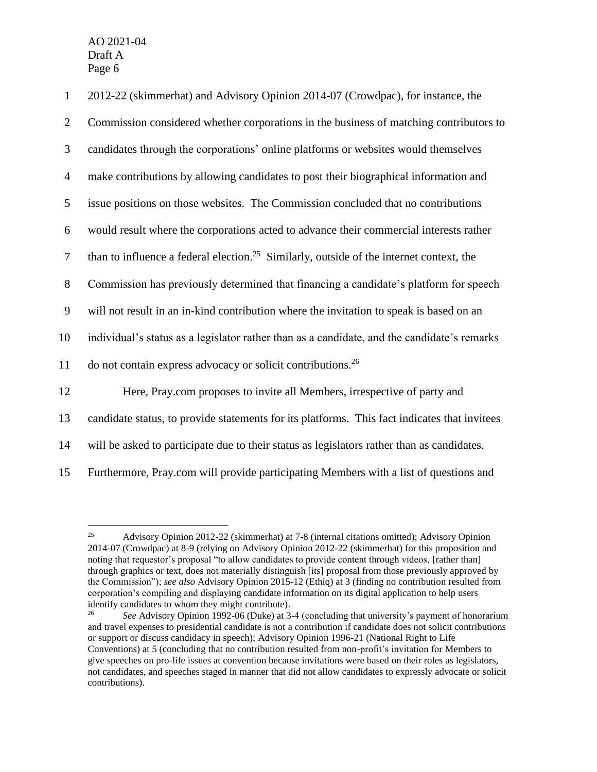$\overline{a}$ 

| $\mathbf{1}$   | 2012-22 (skimmerhat) and Advisory Opinion 2014-07 (Crowdpac), for instance, the                     |
|----------------|-----------------------------------------------------------------------------------------------------|
| $\overline{2}$ | Commission considered whether corporations in the business of matching contributors to              |
| 3              | candidates through the corporations' online platforms or websites would themselves                  |
| $\overline{4}$ | make contributions by allowing candidates to post their biographical information and                |
| 5              | issue positions on those websites. The Commission concluded that no contributions                   |
| 6              | would result where the corporations acted to advance their commercial interests rather              |
| $\tau$         | than to influence a federal election. <sup>25</sup> Similarly, outside of the internet context, the |
| $8\,$          | Commission has previously determined that financing a candidate's platform for speech               |
| 9              | will not result in an in-kind contribution where the invitation to speak is based on an             |
| 10             | individual's status as a legislator rather than as a candidate, and the candidate's remarks         |
| 11             | do not contain express advocacy or solicit contributions. <sup>26</sup>                             |
| 12             | Here, Pray.com proposes to invite all Members, irrespective of party and                            |
| 13             | candidate status, to provide statements for its platforms. This fact indicates that invitees        |
| 14             | will be asked to participate due to their status as legislators rather than as candidates.          |
| 15             | Furthermore, Pray.com will provide participating Members with a list of questions and               |

<sup>25</sup> Advisory Opinion 2012-22 (skimmerhat) at 7-8 (internal citations omitted); Advisory Opinion 2014-07 (Crowdpac) at 8-9 (relying on Advisory Opinion 2012-22 (skimmerhat) for this proposition and noting that requestor's proposal "to allow candidates to provide content through videos, [rather than] through graphics or text, does not materially distinguish [its] proposal from those previously approved by the Commission"); *see also* Advisory Opinion 2015-12 (Ethiq) at 3 (finding no contribution resulted from corporation's compiling and displaying candidate information on its digital application to help users identify candidates to whom they might contribute).

<sup>26</sup> *See* Advisory Opinion 1992-06 (Duke) at 3-4 (concluding that university's payment of honorarium and travel expenses to presidential candidate is not a contribution if candidate does not solicit contributions or support or discuss candidacy in speech); Advisory Opinion 1996-21 (National Right to Life Conventions) at 5 (concluding that no contribution resulted from non-profit's invitation for Members to give speeches on pro-life issues at convention because invitations were based on their roles as legislators, not candidates, and speeches staged in manner that did not allow candidates to expressly advocate or solicit contributions).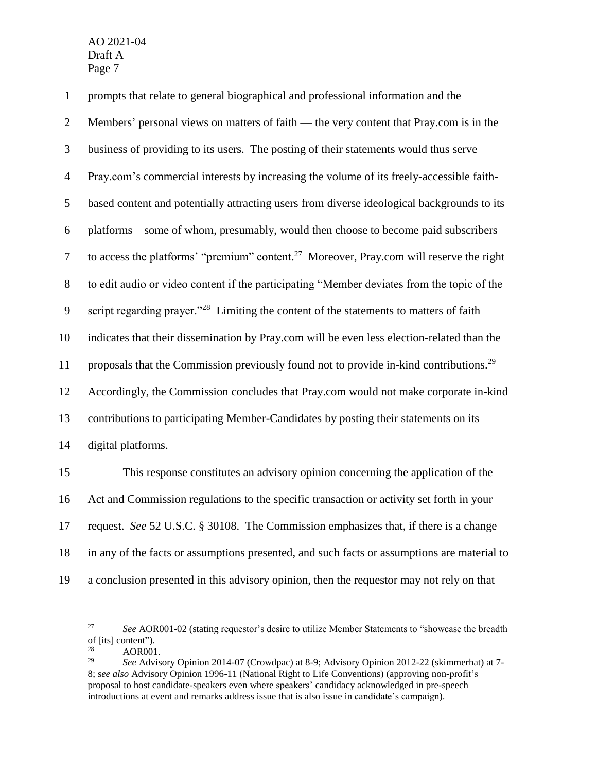prompts that relate to general biographical and professional information and the Members' personal views on matters of faith — the very content that Pray.com is in the business of providing to its users. The posting of their statements would thus serve Pray.com's commercial interests by increasing the volume of its freely-accessible faith- based content and potentially attracting users from diverse ideological backgrounds to its platforms—some of whom, presumably, would then choose to become paid subscribers 7 to access the platforms' "premium" content.<sup>27</sup> Moreover, Pray.com will reserve the right to edit audio or video content if the participating "Member deviates from the topic of the 9 script regarding prayer."<sup>28</sup> Limiting the content of the statements to matters of faith indicates that their dissemination by Pray.com will be even less election-related than the 11 proposals that the Commission previously found not to provide in-kind contributions.<sup>29</sup> Accordingly, the Commission concludes that Pray.com would not make corporate in-kind contributions to participating Member-Candidates by posting their statements on its digital platforms. This response constitutes an advisory opinion concerning the application of the

 Act and Commission regulations to the specific transaction or activity set forth in your request. *See* 52 U.S.C. § 30108. The Commission emphasizes that, if there is a change in any of the facts or assumptions presented, and such facts or assumptions are material to a conclusion presented in this advisory opinion, then the requestor may not rely on that

 *See* AOR001-02 (stating requestor's desire to utilize Member Statements to "showcase the breadth of [its] content").

<sup>&</sup>lt;sup>28</sup> AOR001.<br><sup>29</sup> See Advis

 *See* Advisory Opinion 2014-07 (Crowdpac) at 8-9; Advisory Opinion 2012-22 (skimmerhat) at 7- 8; s*ee also* Advisory Opinion 1996-11 (National Right to Life Conventions) (approving non-profit's proposal to host candidate-speakers even where speakers' candidacy acknowledged in pre-speech introductions at event and remarks address issue that is also issue in candidate's campaign).